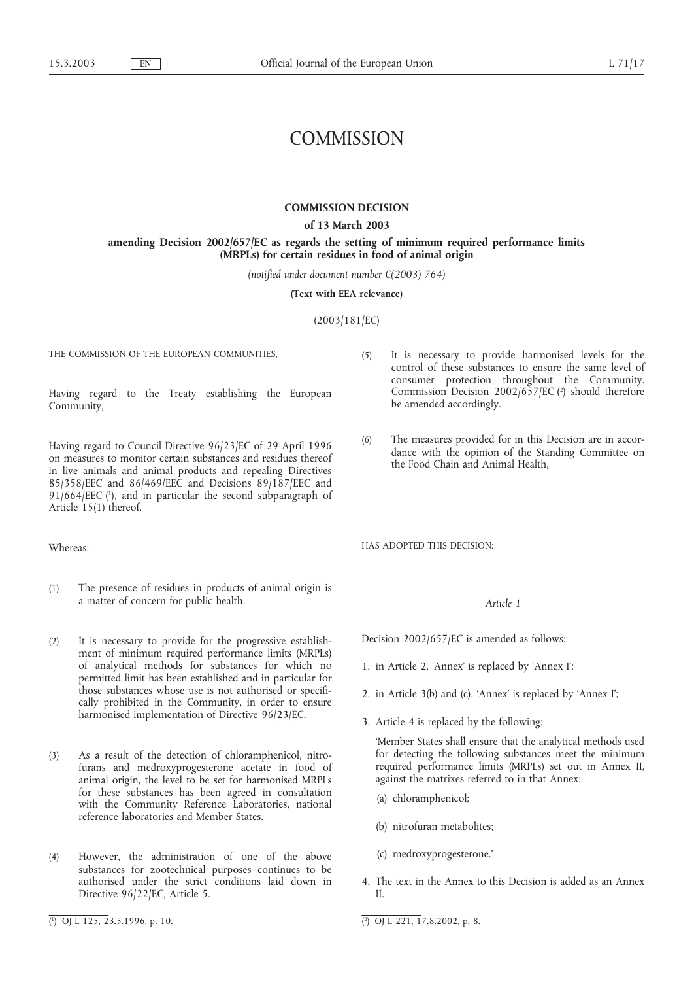# **COMMISSION**

#### **COMMISSION DECISION**

**of 13 March 2003**

**amending Decision 2002/657/EC as regards the setting of minimum required performance limits (MRPLs) for certain residues in food of animal origin**

*(notified under document number C(2003) 764)*

**(Text with EEA relevance)**

(2003/181/EC)

THE COMMISSION OF THE EUROPEAN COMMUNITIES,

Having regard to the Treaty establishing the European Community,

Having regard to Council Directive 96/23/EC of 29 April 1996 on measures to monitor certain substances and residues thereof in live animals and animal products and repealing Directives 85/358/EEC and 86/469/EEC and Decisions 89/187/EEC and  $91/664/EEC$  ( $\cdot$ ), and in particular the second subparagraph of Article 15(1) thereof,

Whereas:

- (1) The presence of residues in products of animal origin is a matter of concern for public health.
- (2) It is necessary to provide for the progressive establishment of minimum required performance limits (MRPLs) of analytical methods for substances for which no permitted limit has been established and in particular for those substances whose use is not authorised or specifically prohibited in the Community, in order to ensure harmonised implementation of Directive 96/23/EC.
- (3) As a result of the detection of chloramphenicol, nitrofurans and medroxyprogesterone acetate in food of animal origin, the level to be set for harmonised MRPLs for these substances has been agreed in consultation with the Community Reference Laboratories, national reference laboratories and Member States.
- (4) However, the administration of one of the above substances for zootechnical purposes continues to be authorised under the strict conditions laid down in Directive 96/22/EC, Article 5.
- (5) It is necessary to provide harmonised levels for the control of these substances to ensure the same level of consumer protection throughout the Community. Commission Decision  $2002/657/EC$  ( $\degree$ ) should therefore be amended accordingly.
- (6) The measures provided for in this Decision are in accordance with the opinion of the Standing Committee on the Food Chain and Animal Health,

HAS ADOPTED THIS DECISION:

#### *Article 1*

Decision 2002/657/EC is amended as follows:

- 1. in Article 2, 'Annex' is replaced by 'Annex I';
- 2. in Article 3(b) and (c), 'Annex' is replaced by 'Annex I';
- 3. Article 4 is replaced by the following:

'Member States shall ensure that the analytical methods used for detecting the following substances meet the minimum required performance limits (MRPLs) set out in Annex II, against the matrixes referred to in that Annex:

- (a) chloramphenicol;
- (b) nitrofuran metabolites;
- (c) medroxyprogesterone.'
- 4. The text in the Annex to this Decision is added as an Annex II.